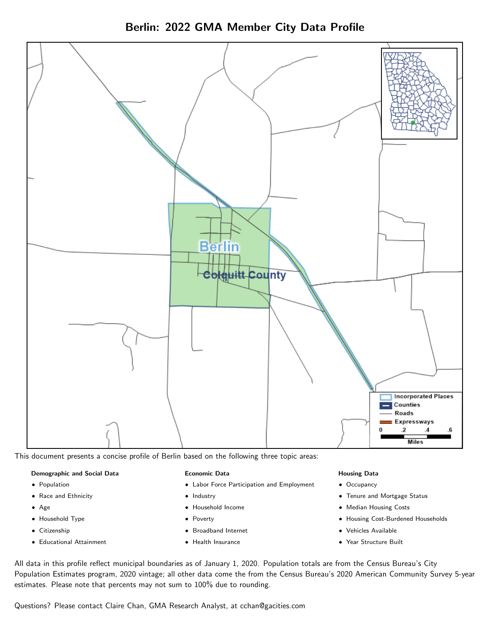



This document presents a concise profile of Berlin based on the following three topic areas:

#### Demographic and Social Data

- **•** Population
- Race and Ethnicity
- Age
- Household Type
- **Citizenship**
- Educational Attainment

#### Economic Data

- Labor Force Participation and Employment
- Industry
- Household Income
- Poverty
- Broadband Internet
- Health Insurance

#### Housing Data

- Occupancy
- Tenure and Mortgage Status
- Median Housing Costs
- Housing Cost-Burdened Households
- Vehicles Available
- Year Structure Built

All data in this profile reflect municipal boundaries as of January 1, 2020. Population totals are from the Census Bureau's City Population Estimates program, 2020 vintage; all other data come the from the Census Bureau's 2020 American Community Survey 5-year estimates. Please note that percents may not sum to 100% due to rounding.

Questions? Please contact Claire Chan, GMA Research Analyst, at [cchan@gacities.com.](mailto:cchan@gacities.com)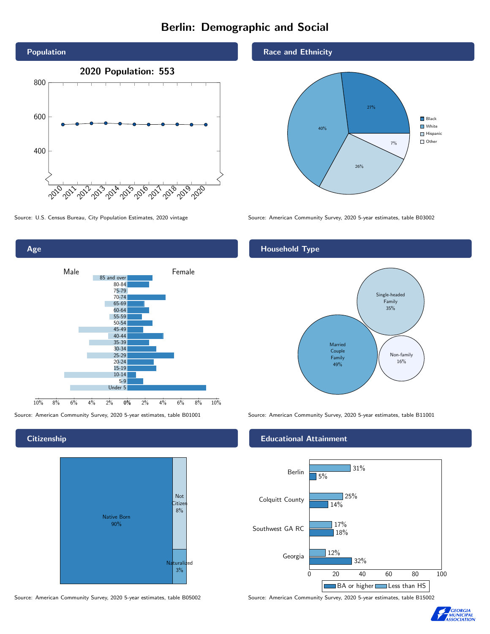# Berlin: Demographic and Social





### **Citizenship**



Source: American Community Survey, 2020 5-year estimates, table B05002 Source: American Community Survey, 2020 5-year estimates, table B15002

#### Race and Ethnicity



Source: U.S. Census Bureau, City Population Estimates, 2020 vintage Source: American Community Survey, 2020 5-year estimates, table B03002

## Household Type



Source: American Community Survey, 2020 5-year estimates, table B01001 Source: American Community Survey, 2020 5-year estimates, table B11001

### Educational Attainment



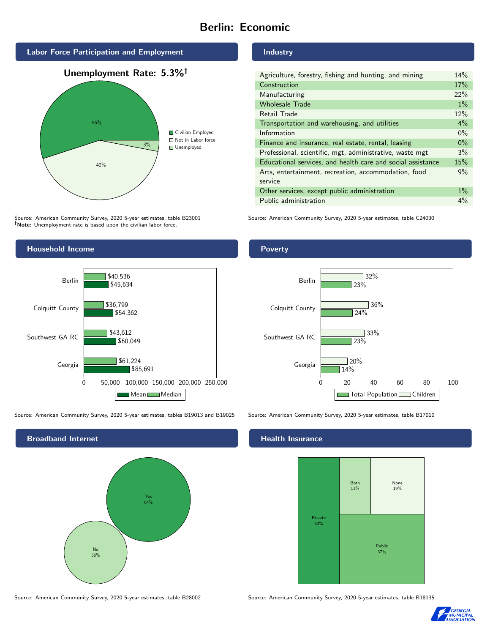# Berlin: Economic





Source: American Community Survey, 2020 5-year estimates, table B23001 Note: Unemployment rate is based upon the civilian labor force.

### Industry

| Agriculture, forestry, fishing and hunting, and mining      | 14%   |
|-------------------------------------------------------------|-------|
| Construction                                                | 17%   |
| Manufacturing                                               | 22%   |
| <b>Wholesale Trade</b>                                      | $1\%$ |
| Retail Trade                                                | 12%   |
| Transportation and warehousing, and utilities               | $4\%$ |
| Information                                                 | $0\%$ |
| Finance and insurance, real estate, rental, leasing         | $0\%$ |
| Professional, scientific, mgt, administrative, waste mgt    | 3%    |
| Educational services, and health care and social assistance | 15%   |
| Arts, entertainment, recreation, accommodation, food        | 9%    |
| service                                                     |       |
| Other services, except public administration                | $1\%$ |
| Public administration                                       | $4\%$ |

Source: American Community Survey, 2020 5-year estimates, table C24030



Source: American Community Survey, 2020 5-year estimates, tables B19013 and B19025 Source: American Community Survey, 2020 5-year estimates, table B17010

Broadband Internet No 36% Yes 64%

#### Health Insurance



Source: American Community Survey, 2020 5-year estimates, table B28002 Source: American Community Survey, 2020 5-year estimates, table B18135



#### Poverty